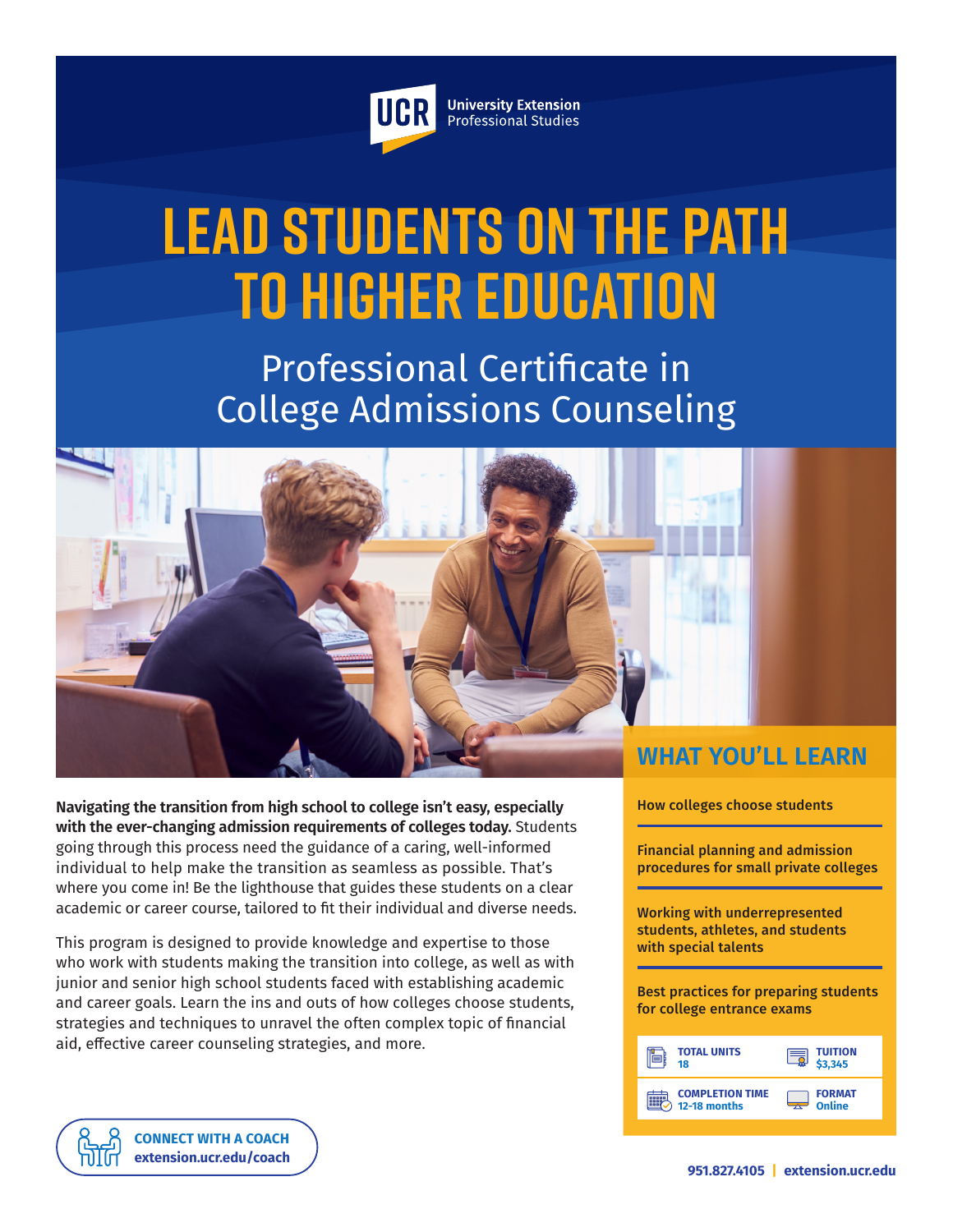

**University Extension** Professional Studies

# **Lead Students on the Path to Higher Education**

Professional Certificate in College Admissions Counseling



**Navigating the transition from high school to college isn't easy, especially with the ever-changing admission requirements of colleges today.** Students going through this process need the guidance of a caring, well-informed individual to help make the transition as seamless as possible. That's where you come in! Be the lighthouse that guides these students on a clear academic or career course, tailored to fit their individual and diverse needs.

This program is designed to provide knowledge and expertise to those who work with students making the transition into college, as well as with junior and senior high school students faced with establishing academic and career goals. Learn the ins and outs of how colleges choose students, strategies and techniques to unravel the often complex topic of financial aid, effective career counseling strategies, and more.

How colleges choose students

Financial planning and admission procedures for small private colleges

Working with underrepresented students, athletes, and students with special talents

Best practices for preparing students for college entrance exams

| <b>TOTAL UNITS</b>     | <b>TUITION</b> |
|------------------------|----------------|
| 18                     | 3.345          |
| <b>COMPLETION TIME</b> | <b>FORMAT</b>  |
| 12-18 months           | Online         |

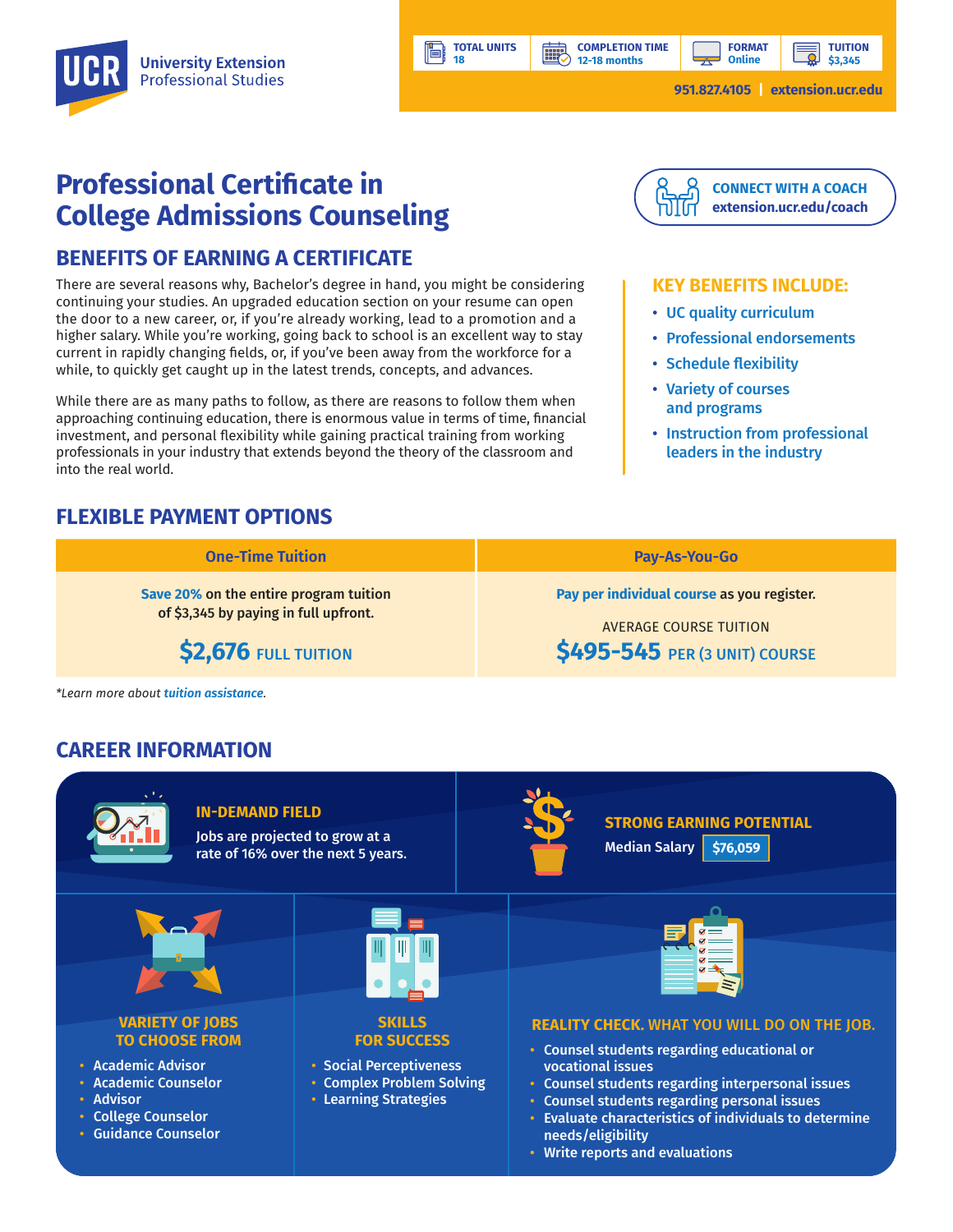**COMPLETION TIME 12-18 months**

**HILL** 

**951.827.4105 | [extension.ucr.edu](http://extension.ucr.edu)**

**TUITION \$3,345**

# **Professional Certificate in College Admissions Counseling**

## **BENEFITS OF EARNING A CERTIFICATE**

There are several reasons why, Bachelor's degree in hand, you might be considering continuing your studies. An upgraded education section on your resume can open the door to a new career, or, if you're already working, lead to a promotion and a higher salary. While you're working, going back to school is an excellent way to stay current in rapidly changing fields, or, if you've been away from the workforce for a while, to quickly get caught up in the latest trends, concepts, and advances.

While there are as many paths to follow, as there are reasons to follow them when approaching continuing education, there is enormous value in terms of time, financial investment, and personal flexibility while gaining practical training from working professionals in your industry that extends beyond the theory of the classroom and into the real world.

# **FLEXIBLE PAYMENT OPTIONS**

## **[CONNECT WITH A COACH](https://extension.ucr.edu/studentresources/studentsuccesscoaches/studentsuccesscoaches) [extension.ucr.edu/coach](http://extension.ucr.edu/coach)**

#### **KEY BENEFITS INCLUDE:**

- UC quality curriculum
- Professional endorsements
- Schedule flexibility
- Variety of courses and programs
- Instruction from professional leaders in the industry

| <b>One-Time Tuition</b>                | <b>Pay-As-You-Go</b>                       |
|----------------------------------------|--------------------------------------------|
| Save 20% on the entire program tuition | Pay per individual course as you register. |
| of \$3,345 by paying in full upfront.  | <b>AVERAGE COURSE TUITION</b>              |
| \$2,676 FULL TUITION                   | \$495-545 PER (3 UNIT) COURSE              |

**TOTAL UNITS 18**

*\*Learn more about [tuition assistance](https://extension.ucr.edu/helpcenterstudentresources/financialandtuitionassistance).*

# **CAREER INFORMATION**



• Write reports and evaluations